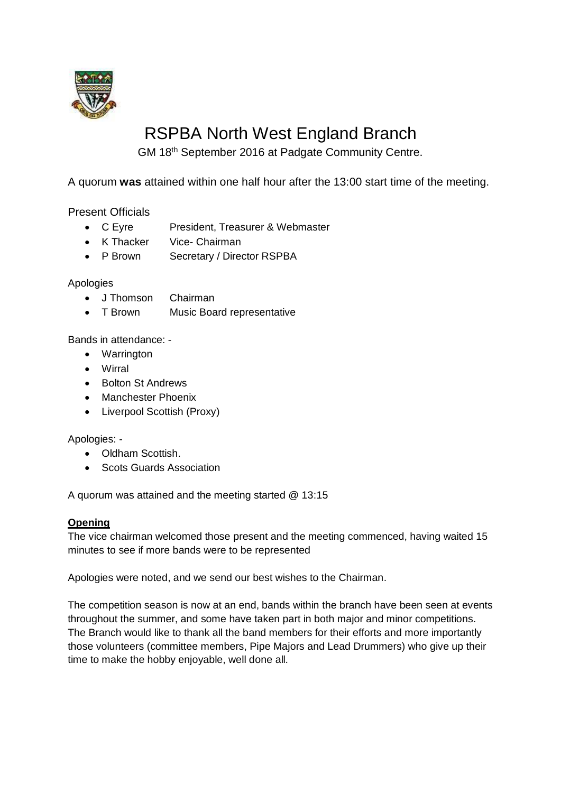

# RSPBA North West England Branch

GM 18th September 2016 at Padgate Community Centre.

A quorum **was** attained within one half hour after the 13:00 start time of the meeting.

Present Officials

- C Eyre President, Treasurer & Webmaster
- K Thacker Vice- Chairman
- P Brown Secretary / Director RSPBA

## Apologies

- J Thomson Chairman
- T Brown Music Board representative

Bands in attendance: -

- Warrington
- Wirral
- Bolton St Andrews
- Manchester Phoenix
- Liverpool Scottish (Proxy)

Apologies: -

- Oldham Scottish.
- Scots Guards Association

A quorum was attained and the meeting started @ 13:15

#### **Opening**

The vice chairman welcomed those present and the meeting commenced, having waited 15 minutes to see if more bands were to be represented

Apologies were noted, and we send our best wishes to the Chairman.

The competition season is now at an end, bands within the branch have been seen at events throughout the summer, and some have taken part in both major and minor competitions. The Branch would like to thank all the band members for their efforts and more importantly those volunteers (committee members, Pipe Majors and Lead Drummers) who give up their time to make the hobby enjoyable, well done all.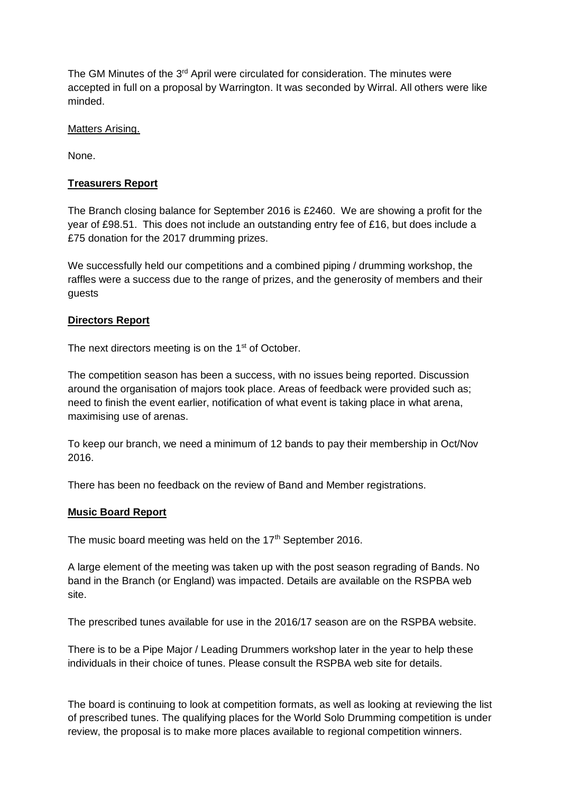The GM Minutes of the 3<sup>rd</sup> April were circulated for consideration. The minutes were accepted in full on a proposal by Warrington. It was seconded by Wirral. All others were like minded.

#### Matters Arising.

None.

## **Treasurers Report**

The Branch closing balance for September 2016 is £2460. We are showing a profit for the year of £98.51. This does not include an outstanding entry fee of £16, but does include a £75 donation for the 2017 drumming prizes.

We successfully held our competitions and a combined piping / drumming workshop, the raffles were a success due to the range of prizes, and the generosity of members and their guests

## **Directors Report**

The next directors meeting is on the 1<sup>st</sup> of October.

The competition season has been a success, with no issues being reported. Discussion around the organisation of majors took place. Areas of feedback were provided such as; need to finish the event earlier, notification of what event is taking place in what arena, maximising use of arenas.

To keep our branch, we need a minimum of 12 bands to pay their membership in Oct/Nov 2016.

There has been no feedback on the review of Band and Member registrations.

#### **Music Board Report**

The music board meeting was held on the  $17<sup>th</sup>$  September 2016.

A large element of the meeting was taken up with the post season regrading of Bands. No band in the Branch (or England) was impacted. Details are available on the RSPBA web site.

The prescribed tunes available for use in the 2016/17 season are on the RSPBA website.

There is to be a Pipe Major / Leading Drummers workshop later in the year to help these individuals in their choice of tunes. Please consult the RSPBA web site for details.

The board is continuing to look at competition formats, as well as looking at reviewing the list of prescribed tunes. The qualifying places for the World Solo Drumming competition is under review, the proposal is to make more places available to regional competition winners.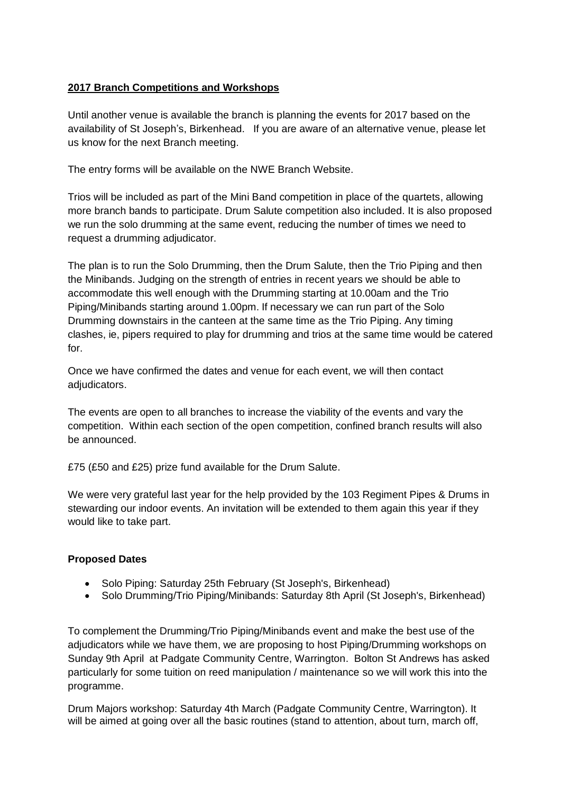# **2017 Branch Competitions and Workshops**

Until another venue is available the branch is planning the events for 2017 based on the availability of St Joseph's, Birkenhead. If you are aware of an alternative venue, please let us know for the next Branch meeting.

The entry forms will be available on the NWE Branch Website.

Trios will be included as part of the Mini Band competition in place of the quartets, allowing more branch bands to participate. Drum Salute competition also included. It is also proposed we run the solo drumming at the same event, reducing the number of times we need to request a drumming adjudicator.

The plan is to run the Solo Drumming, then the Drum Salute, then the Trio Piping and then the Minibands. Judging on the strength of entries in recent years we should be able to accommodate this well enough with the Drumming starting at 10.00am and the Trio Piping/Minibands starting around 1.00pm. If necessary we can run part of the Solo Drumming downstairs in the canteen at the same time as the Trio Piping. Any timing clashes, ie, pipers required to play for drumming and trios at the same time would be catered for.

Once we have confirmed the dates and venue for each event, we will then contact adjudicators.

The events are open to all branches to increase the viability of the events and vary the competition. Within each section of the open competition, confined branch results will also be announced.

£75 (£50 and £25) prize fund available for the Drum Salute.

We were very grateful last year for the help provided by the 103 Regiment Pipes & Drums in stewarding our indoor events. An invitation will be extended to them again this year if they would like to take part.

# **Proposed Dates**

- Solo Piping: Saturday 25th February (St Joseph's, Birkenhead)
- Solo Drumming/Trio Piping/Minibands: Saturday 8th April (St Joseph's, Birkenhead)

To complement the Drumming/Trio Piping/Minibands event and make the best use of the adjudicators while we have them, we are proposing to host Piping/Drumming workshops on Sunday 9th April at Padgate Community Centre, Warrington. Bolton St Andrews has asked particularly for some tuition on reed manipulation / maintenance so we will work this into the programme.

Drum Majors workshop: Saturday 4th March (Padgate Community Centre, Warrington). It will be aimed at going over all the basic routines (stand to attention, about turn, march off,